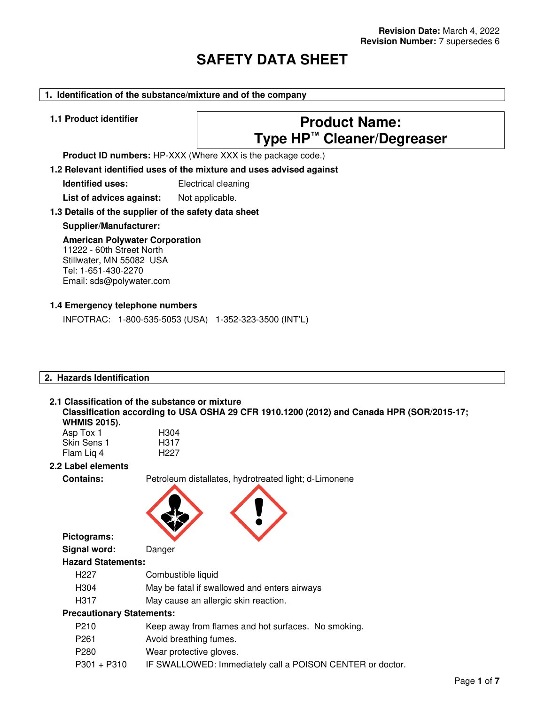# **SAFETY DATA SHEET**

# **1. Identification of the substance/mixture and of the company**

# **1.1 Product identifier Product Name: Type HP™ Cleaner/Degreaser**

**Product ID numbers:** HP-XXX (Where XXX is the package code.)

**1.2 Relevant identified uses of the mixture and uses advised against**

**Identified uses:** Electrical cleaning

List of advices against: Not applicable.

### **1.3 Details of the supplier of the safety data sheet**

**Supplier/Manufacturer:** 

#### **American Polywater Corporation** 11222 - 60th Street North Stillwater, MN 55082 USA

Tel: 1-651-430-2270 Email: sds@polywater.com

# **1.4 Emergency telephone numbers**

INFOTRAC: 1-800-535-5053 (USA) 1-352-323-3500 (INT'L)

H<sub>304</sub> H317 H<sub>227</sub>

### **2. Hazards Identification**

#### **2.1 Classification of the substance or mixture Classification according to USA OSHA 29 CFR 1910.1200 (2012) and Canada HPR (SOR/2015-17; WHMIS 2015).**

| Asp Tox 1   |  |
|-------------|--|
| Skin Sens 1 |  |
| Flam Lig 4  |  |

### **2.2 Label elements**

**Pictograms:** 

**Contains:** Petroleum distallates, hydrotreated light; d-Limonene



**Signal word:** Danger

### **Hazard Statements:**

- H227 Combustible liquid
- H304 May be fatal if swallowed and enters airways
- H317 May cause an allergic skin reaction.

# **Precautionary Statements:**

- P210 Keep away from flames and hot surfaces. No smoking.
- P261 Avoid breathing fumes.
- P280 Wear protective gloves.
- P301 + P310 IF SWALLOWED: Immediately call a POISON CENTER or doctor.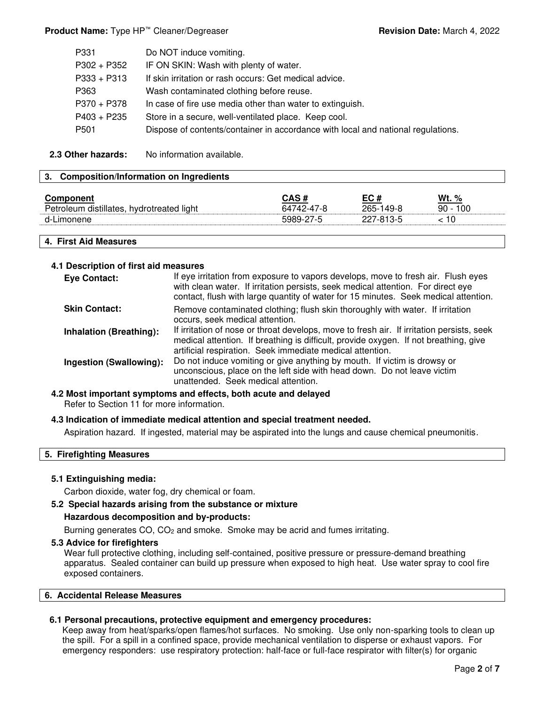# **Product Name:** Type HP<sup>™</sup> Cleaner/Degreaser **Revision Date:** March 4, 2022

| P331          | Do NOT induce vomiting.                                                          |
|---------------|----------------------------------------------------------------------------------|
| $P302 + P352$ | IF ON SKIN: Wash with plenty of water.                                           |
| $P333 + P313$ | If skin irritation or rash occurs: Get medical advice.                           |
| P363          | Wash contaminated clothing before reuse.                                         |
| P370 + P378   | In case of fire use media other than water to extinguish.                        |
| P403 + P235   | Store in a secure, well-ventilated place. Keep cool.                             |
| P501          | Dispose of contents/container in accordance with local and national regulations. |
|               |                                                                                  |

**2.3 Other hazards:** No information available.

### **3. Composition/Information on Ingredients**

| <b>Component</b><br>Petroleum distillates,<br>hydrotreated light | $CAS \neq$<br>64742-47-8 | EC#<br>265-149-8 | Wt. %<br>100<br>$90 -$ |
|------------------------------------------------------------------|--------------------------|------------------|------------------------|
| d-Limonene                                                       | 5989-27-5                | 227-813-5        | 10                     |
|                                                                  |                          |                  |                        |

**4. First Aid Measures**

### **4.1 Description of first aid measures**

| <b>Eye Contact:</b>            | If eye irritation from exposure to vapors develops, move to fresh air. Flush eyes<br>with clean water. If irritation persists, seek medical attention. For direct eye<br>contact, flush with large quantity of water for 15 minutes. Seek medical attention. |
|--------------------------------|--------------------------------------------------------------------------------------------------------------------------------------------------------------------------------------------------------------------------------------------------------------|
| <b>Skin Contact:</b>           | Remove contaminated clothing; flush skin thoroughly with water. If irritation<br>occurs, seek medical attention.                                                                                                                                             |
| <b>Inhalation (Breathing):</b> | If irritation of nose or throat develops, move to fresh air. If irritation persists, seek<br>medical attention. If breathing is difficult, provide oxygen. If not breathing, give<br>artificial respiration. Seek immediate medical attention.               |
| Ingestion (Swallowing):        | Do not induce vomiting or give anything by mouth. If victim is drowsy or<br>unconscious, place on the left side with head down. Do not leave victim<br>unattended. Seek medical attention.                                                                   |

#### **4.2 Most important symptoms and effects, both acute and delayed**

Refer to Section 11 for more information.

### **4.3 Indication of immediate medical attention and special treatment needed.**

Aspiration hazard. If ingested, material may be aspirated into the lungs and cause chemical pneumonitis.

#### **5. Firefighting Measures**

# **5.1 Extinguishing media:**

Carbon dioxide, water fog, dry chemical or foam.

## **5.2 Special hazards arising from the substance or mixture**

### **Hazardous decomposition and by-products:**

Burning generates CO, CO2 and smoke. Smoke may be acrid and fumes irritating.

#### **5.3 Advice for firefighters**

Wear full protective clothing, including self-contained, positive pressure or pressure-demand breathing apparatus. Sealed container can build up pressure when exposed to high heat. Use water spray to cool fire exposed containers.

# **6. Accidental Release Measures**

### **6.1 Personal precautions, protective equipment and emergency procedures:**

Keep away from heat/sparks/open flames/hot surfaces. No smoking. Use only non-sparking tools to clean up the spill. For a spill in a confined space, provide mechanical ventilation to disperse or exhaust vapors. For emergency responders: use respiratory protection: half-face or full-face respirator with filter(s) for organic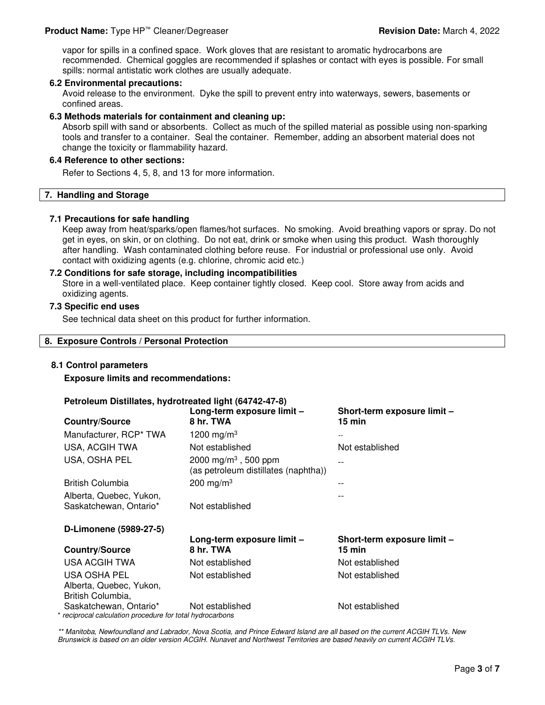vapor for spills in a confined space. Work gloves that are resistant to aromatic hydrocarbons are recommended. Chemical goggles are recommended if splashes or contact with eyes is possible. For small spills: normal antistatic work clothes are usually adequate.

#### **6.2 Environmental precautions:**

Avoid release to the environment. Dyke the spill to prevent entry into waterways, sewers, basements or confined areas.

#### **6.3 Methods materials for containment and cleaning up:**

Absorb spill with sand or absorbents. Collect as much of the spilled material as possible using non-sparking tools and transfer to a container. Seal the container. Remember, adding an absorbent material does not change the toxicity or flammability hazard.

# **6.4 Reference to other sections:**

Refer to Sections 4, 5, 8, and 13 for more information.

#### **7. Handling and Storage**

#### **7.1 Precautions for safe handling**

Keep away from heat/sparks/open flames/hot surfaces. No smoking. Avoid breathing vapors or spray. Do not get in eyes, on skin, or on clothing. Do not eat, drink or smoke when using this product. Wash thoroughly after handling. Wash contaminated clothing before reuse. For industrial or professional use only. Avoid contact with oxidizing agents (e.g. chlorine, chromic acid etc.)

#### **7.2 Conditions for safe storage, including incompatibilities**

Store in a well-ventilated place. Keep container tightly closed. Keep cool. Store away from acids and oxidizing agents.

# **7.3 Specific end uses**

See technical data sheet on this product for further information.

#### **8. Exposure Controls / Personal Protection**

### **8.1 Control parameters**

**Exposure limits and recommendations:** 

#### **Petroleum Distillates, hydrotreated light (64742-47-8)**

| <b>Country/Source</b>                       | Long-term exposure limit -<br>8 hr. TWA                                  | Short-term exposure limit -<br>$15$ min         |
|---------------------------------------------|--------------------------------------------------------------------------|-------------------------------------------------|
| Manufacturer, RCP* TWA                      | 1200 mg/m <sup>3</sup>                                                   |                                                 |
| USA, ACGIH TWA                              | Not established                                                          | Not established                                 |
| USA, OSHA PEL                               | 2000 mg/m <sup>3</sup> , 500 ppm<br>(as petroleum distillates (naphtha)) |                                                 |
| <b>British Columbia</b>                     | 200 mg/m <sup>3</sup>                                                    | --                                              |
| Alberta, Quebec, Yukon,                     |                                                                          |                                                 |
| Saskatchewan, Ontario*                      | Not established                                                          |                                                 |
| D-Limonene (5989-27-5)                      |                                                                          |                                                 |
| <b>Country/Source</b>                       | Long-term exposure limit -<br>8 hr. TWA                                  | Short-term exposure limit -<br>$15 \text{ min}$ |
| USA ACGIH TWA                               | Not established                                                          | Not established                                 |
| USA OSHA PEL                                | Not established                                                          | Not established                                 |
|                                             |                                                                          |                                                 |
| Alberta, Quebec, Yukon,                     |                                                                          |                                                 |
| British Columbia,<br>Saskatchewan, Ontario* | Not established                                                          | Not established                                 |

\*\* Manitoba, Newfoundland and Labrador, Nova Scotia, and Prince Edward Island are all based on the current ACGIH TLVs. New Brunswick is based on an older version ACGIH. Nunavet and Northwest Territories are based heavily on current ACGIH TLVs.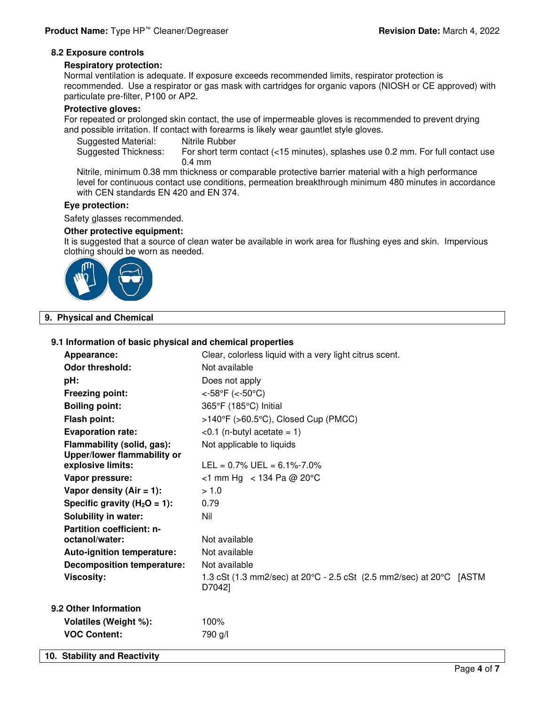#### **8.2 Exposure controls**

#### **Respiratory protection:**

Normal ventilation is adequate. If exposure exceeds recommended limits, respirator protection is recommended. Use a respirator or gas mask with cartridges for organic vapors (NIOSH or CE approved) with particulate pre-filter, P100 or AP2.

#### **Protective gloves:**

For repeated or prolonged skin contact, the use of impermeable gloves is recommended to prevent drying and possible irritation. If contact with forearms is likely wear gauntlet style gloves.

Suggested Material: Nitrile Rubber Suggested Thickness: For short term contact (<15 minutes), splashes use 0.2 mm. For full contact use 0.4 mm

Nitrile, minimum 0.38 mm thickness or comparable protective barrier material with a high performance level for continuous contact use conditions, permeation breakthrough minimum 480 minutes in accordance with CEN standards EN 420 and EN 374.

#### **Eye protection:**

Safety glasses recommended.

#### **Other protective equipment:**

It is suggested that a source of clean water be available in work area for flushing eyes and skin. Impervious clothing should be worn as needed.



# **9. Physical and Chemical**

### **9.1 Information of basic physical and chemical properties**

| Appearance:                                      | Clear, colorless liquid with a very light citrus scent.                                            |
|--------------------------------------------------|----------------------------------------------------------------------------------------------------|
| <b>Odor threshold:</b>                           | Not available                                                                                      |
| pH:                                              | Does not apply                                                                                     |
| <b>Freezing point:</b>                           | <- $58^{\circ}F$ (<- $50^{\circ}C$ )                                                               |
| <b>Boiling point:</b>                            | 365°F (185°C) Initial                                                                              |
| Flash point:                                     | >140°F (>60.5°C), Closed Cup (PMCC)                                                                |
| <b>Evaporation rate:</b>                         | $<$ 0.1 (n-butyl acetate = 1)                                                                      |
| Flammability (solid, gas):                       | Not applicable to liquids                                                                          |
| Upper/lower flammability or<br>explosive limits: | $LEL = 0.7\%$ UEL = 6.1%-7.0%                                                                      |
| Vapor pressure:                                  | $<$ 1 mm Hg $<$ 134 Pa @ 20°C                                                                      |
| Vapor density $(Air = 1)$ :                      | > 1.0                                                                                              |
| Specific gravity ( $H_2O = 1$ ):                 | 0.79                                                                                               |
| <b>Solubility in water:</b>                      | Nil                                                                                                |
| Partition coefficient: n-<br>octanol/water:      | Not available                                                                                      |
| <b>Auto-ignition temperature:</b>                | Not available                                                                                      |
| <b>Decomposition temperature:</b>                | Not available                                                                                      |
| <b>Viscosity:</b>                                | 1.3 cSt (1.3 mm2/sec) at 20 $\degree$ C - 2.5 cSt (2.5 mm2/sec) at 20 $\degree$ C [ASTM]<br>D7042] |
| 9.2 Other Information                            |                                                                                                    |
| Volatiles (Weight %):                            | 100%                                                                                               |
| <b>VOC Content:</b>                              | 790 g/l                                                                                            |
| 10. Stability and Reactivity                     |                                                                                                    |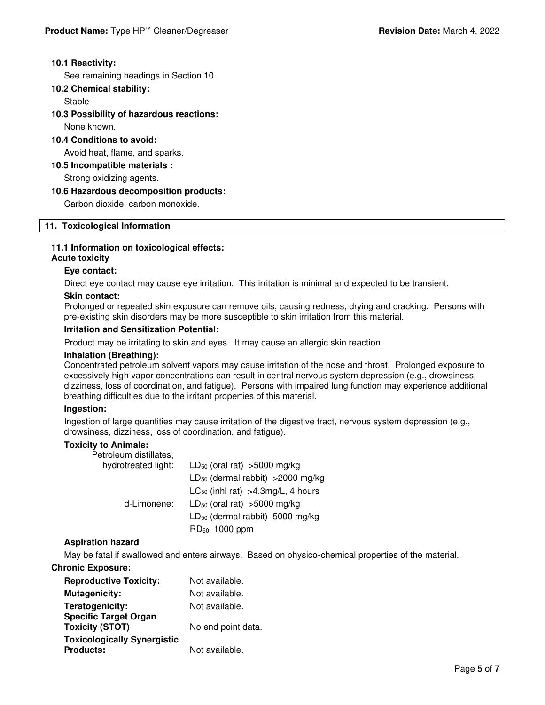# **10.1 Reactivity:**

See remaining headings in Section 10.

# **10.2 Chemical stability:**

Stable

# **10.3 Possibility of hazardous reactions:**

None known.

### **10.4 Conditions to avoid:**

Avoid heat, flame, and sparks.

### **10.5 Incompatible materials :**

Strong oxidizing agents.

### **10.6 Hazardous decomposition products:**

Carbon dioxide, carbon monoxide.

### **11. Toxicological Information**

# **11.1 Information on toxicological effects:**

### **Acute toxicity**

# **Eye contact:**

Direct eye contact may cause eye irritation. This irritation is minimal and expected to be transient.

### **Skin contact:**

Prolonged or repeated skin exposure can remove oils, causing redness, drying and cracking. Persons with pre-existing skin disorders may be more susceptible to skin irritation from this material.

### **Irritation and Sensitization Potential:**

Product may be irritating to skin and eyes. It may cause an allergic skin reaction.

### **Inhalation (Breathing):**

Concentrated petroleum solvent vapors may cause irritation of the nose and throat. Prolonged exposure to excessively high vapor concentrations can result in central nervous system depression (e.g., drowsiness, dizziness, loss of coordination, and fatigue). Persons with impaired lung function may experience additional breathing difficulties due to the irritant properties of this material.

### **Ingestion:**

Ingestion of large quantities may cause irritation of the digestive tract, nervous system depression (e.g., drowsiness, dizziness, loss of coordination, and fatigue).

### **Toxicity to Animals:**

| Petroleum distillates, |                                             |
|------------------------|---------------------------------------------|
| hydrotreated light:    | LD <sub>50</sub> (oral rat) $>5000$ mg/kg   |
|                        | $LD_{50}$ (dermal rabbit) > 2000 mg/kg      |
|                        | $LC_{50}$ (inhl rat) > 4.3 mg/L, 4 hours    |
| d-Limonene:            | $LD_{50}$ (oral rat) >5000 mg/kg            |
|                        | LD <sub>50</sub> (dermal rabbit) 5000 mg/kg |
|                        | RD <sub>50</sub> 1000 ppm                   |

### **Aspiration hazard**

May be fatal if swallowed and enters airways. Based on physico-chemical properties of the material.

# **Chronic Exposure:**

| <b>Reproductive Toxicity:</b>                          | Not available.     |
|--------------------------------------------------------|--------------------|
| <b>Mutagenicity:</b>                                   | Not available.     |
| Teratogenicity:                                        | Not available.     |
| <b>Specific Target Organ</b><br><b>Toxicity (STOT)</b> | No end point data. |
| <b>Toxicologically Synergistic</b>                     |                    |
| <b>Products:</b>                                       | Not available.     |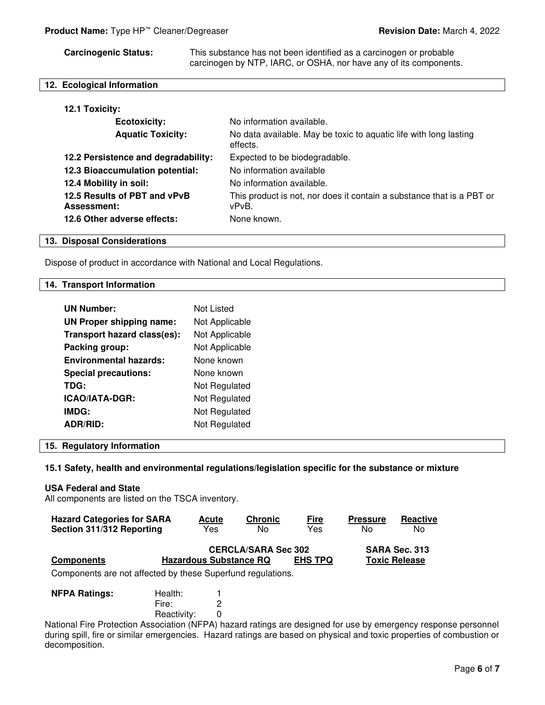**Carcinogenic Status:** This substance has not been identified as a carcinogen or probable carcinogen by NTP, IARC, or OSHA, nor have any of its components.

# **12. Ecological Information**

| 12.1 Toxicity:                                     |                                                                                |
|----------------------------------------------------|--------------------------------------------------------------------------------|
| <b>Ecotoxicity:</b>                                | No information available.                                                      |
| <b>Aquatic Toxicity:</b>                           | No data available. May be toxic to aquatic life with long lasting<br>effects.  |
| 12.2 Persistence and degradability:                | Expected to be biodegradable.                                                  |
| 12.3 Bioaccumulation potential:                    | No information available                                                       |
| 12.4 Mobility in soil:                             | No information available.                                                      |
| 12.5 Results of PBT and vPvB<br><b>Assessment:</b> | This product is not, nor does it contain a substance that is a PBT or<br>vPvB. |
| 12.6 Other adverse effects:                        | None known.                                                                    |

#### **13. Disposal Considerations**

Dispose of product in accordance with National and Local Regulations.

#### **14. Transport Information**

| <b>UN Number:</b>             | Not Listed     |
|-------------------------------|----------------|
| UN Proper shipping name:      | Not Applicable |
| Transport hazard class(es):   | Not Applicable |
| Packing group:                | Not Applicable |
| <b>Environmental hazards:</b> | None known     |
| <b>Special precautions:</b>   | None known     |
| TDG:                          | Not Regulated  |
| <b>ICAO/IATA-DGR:</b>         | Not Regulated  |
| IMDG:                         | Not Regulated  |
| <b>ADR/RID:</b>               | Not Regulated  |

#### **15. Regulatory Information**

#### **15.1 Safety, health and environmental regulations/legislation specific for the substance or mixture**

#### **USA Federal and State**

All components are listed on the TSCA inventory.

| <b>Hazard Categories for SARA</b> | <b>Acute</b>                  | <b>Chronic</b>             | <u>Fire</u>    | <b>Pressure</b> | Reactive             |
|-----------------------------------|-------------------------------|----------------------------|----------------|-----------------|----------------------|
| Section 311/312 Reporting         | Yes                           | No                         | Yes            | N٥              | No                   |
|                                   |                               | <b>CERCLA/SARA Sec 302</b> |                |                 | SARA Sec. 313        |
| <b>Components</b>                 | <b>Hazardous Substance RQ</b> |                            | <b>EHS TPQ</b> |                 | <b>Toxic Release</b> |
|                                   |                               |                            |                |                 |                      |

Components are not affected by these Superfund regulations.

| <b>NFPA Ratings:</b> | Health:     |  |
|----------------------|-------------|--|
|                      | Fire:       |  |
|                      | Reactivity: |  |

National Fire Protection Association (NFPA) hazard ratings are designed for use by emergency response personnel during spill, fire or similar emergencies. Hazard ratings are based on physical and toxic properties of combustion or decomposition.